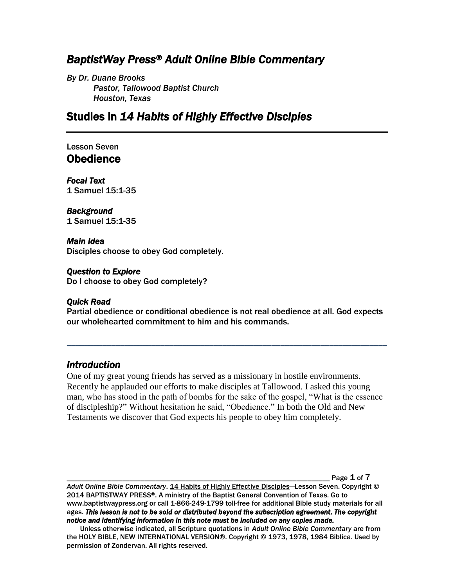# *BaptistWay Press® Adult Online Bible Commentary*

*By Dr. Duane Brooks Pastor, Tallowood Baptist Church Houston, Texas*

# Studies in *14 Habits of Highly Effective Disciples*

## Lesson Seven **Obedience**

*Focal Text*  1 Samuel 15:1-35

### *Background*

1 Samuel 15:1-35

#### *Main Idea*

Disciples choose to obey God completely.

#### *Question to Explore*

Do I choose to obey God completely?

#### *Quick Read*

Partial obedience or conditional obedience is not real obedience at all. God expects our wholehearted commitment to him and his commands.

*\_\_\_\_\_\_\_\_\_\_\_\_\_\_\_\_\_\_\_\_\_\_\_\_\_\_\_\_\_\_\_\_\_\_\_\_\_\_\_\_\_\_\_\_\_\_\_\_\_\_\_\_\_\_\_\_\_\_\_\_\_\_\_\_\_\_\_\_\_\_\_\_*

### *Introduction*

One of my great young friends has served as a missionary in hostile environments. Recently he applauded our efforts to make disciples at Tallowood. I asked this young man, who has stood in the path of bombs for the sake of the gospel, "What is the essence of discipleship?" Without hesitation he said, "Obedience." In both the Old and New Testaments we discover that God expects his people to obey him completely.

Page  $1$  of  $7$ 

*Adult Online Bible Commentary*. 14 Habits of Highly Effective Disciples—Lesson Seven. Copyright © 2014 BAPTISTWAY PRESS®. A ministry of the Baptist General Convention of Texas. Go to www.baptistwaypress.org or call 1-866-249-1799 toll-free for additional Bible study materials for all ages. *This lesson is not to be sold or distributed beyond the subscription agreement. The copyright notice and identifying information in this note must be included on any copies made.* 

Unless otherwise indicated, all Scripture quotations in *Adult Online Bible Commentary* are from the HOLY BIBLE, NEW INTERNATIONAL VERSION®. Copyright © 1973, 1978, 1984 Biblica. Used by permission of Zondervan. All rights reserved.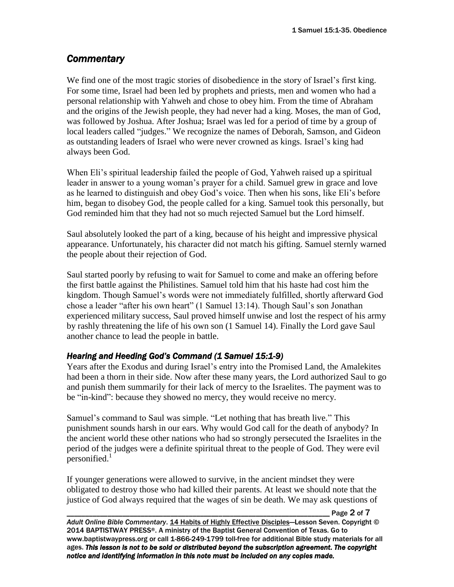# *Commentary*

We find one of the most tragic stories of disobedience in the story of Israel's first king. For some time, Israel had been led by prophets and priests, men and women who had a personal relationship with Yahweh and chose to obey him. From the time of Abraham and the origins of the Jewish people, they had never had a king. Moses, the man of God, was followed by Joshua. After Joshua; Israel was led for a period of time by a group of local leaders called "judges." We recognize the names of Deborah, Samson, and Gideon as outstanding leaders of Israel who were never crowned as kings. Israel's king had always been God.

When Eli's spiritual leadership failed the people of God, Yahweh raised up a spiritual leader in answer to a young woman's prayer for a child. Samuel grew in grace and love as he learned to distinguish and obey God's voice. Then when his sons, like Eli's before him, began to disobey God, the people called for a king. Samuel took this personally, but God reminded him that they had not so much rejected Samuel but the Lord himself.

Saul absolutely looked the part of a king, because of his height and impressive physical appearance. Unfortunately, his character did not match his gifting. Samuel sternly warned the people about their rejection of God.

Saul started poorly by refusing to wait for Samuel to come and make an offering before the first battle against the Philistines. Samuel told him that his haste had cost him the kingdom. Though Samuel's words were not immediately fulfilled, shortly afterward God chose a leader "after his own heart" (1 Samuel 13:14). Though Saul's son Jonathan experienced military success, Saul proved himself unwise and lost the respect of his army by rashly threatening the life of his own son (1 Samuel 14). Finally the Lord gave Saul another chance to lead the people in battle.

## *Hearing and Heeding God's Command (1 Samuel 15:1-9)*

Years after the Exodus and during Israel's entry into the Promised Land, the Amalekites had been a thorn in their side. Now after these many years, the Lord authorized Saul to go and punish them summarily for their lack of mercy to the Israelites. The payment was to be "in-kind": because they showed no mercy, they would receive no mercy.

Samuel's command to Saul was simple. "Let nothing that has breath live." This punishment sounds harsh in our ears. Why would God call for the death of anybody? In the ancient world these other nations who had so strongly persecuted the Israelites in the period of the judges were a definite spiritual threat to the people of God. They were evil personified. $1$ 

If younger generations were allowed to survive, in the ancient mindset they were obligated to destroy those who had killed their parents. At least we should note that the justice of God always required that the wages of sin be death. We may ask questions of

\_\_\_\_\_\_\_\_\_\_\_\_\_\_\_\_\_\_\_\_\_\_\_\_\_\_\_\_\_\_\_\_\_\_\_\_\_\_\_\_\_\_\_\_\_\_\_\_\_\_\_\_\_\_\_\_\_\_\_\_\_\_\_\_\_\_\_\_\_\_\_ Page 2 of 7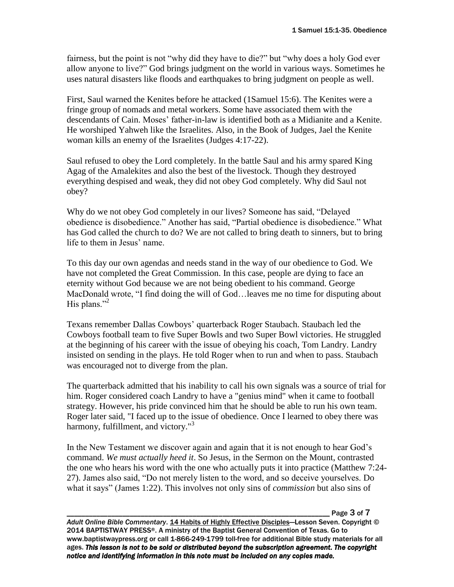fairness, but the point is not "why did they have to die?" but "why does a holy God ever allow anyone to live?" God brings judgment on the world in various ways. Sometimes he uses natural disasters like floods and earthquakes to bring judgment on people as well.

First, Saul warned the Kenites before he attacked (1Samuel 15:6). The Kenites were a fringe group of nomads and metal workers. Some have associated them with the descendants of Cain. Moses' father-in-law is identified both as a Midianite and a Kenite. He worshiped Yahweh like the Israelites. Also, in the Book of Judges, Jael the Kenite woman kills an enemy of the Israelites (Judges 4:17-22).

Saul refused to obey the Lord completely. In the battle Saul and his army spared King Agag of the Amalekites and also the best of the livestock. Though they destroyed everything despised and weak, they did not obey God completely. Why did Saul not obey?

Why do we not obey God completely in our lives? Someone has said, "Delayed obedience is disobedience." Another has said, "Partial obedience is disobedience." What has God called the church to do? We are not called to bring death to sinners, but to bring life to them in Jesus' name.

To this day our own agendas and needs stand in the way of our obedience to God. We have not completed the Great Commission. In this case, people are dying to face an eternity without God because we are not being obedient to his command. George MacDonald wrote, "I find doing the will of God…leaves me no time for disputing about His plans." $2^2$ 

Texans remember Dallas Cowboys' quarterback Roger Staubach. Staubach led the Cowboys football team to five Super Bowls and two Super Bowl victories. He struggled at the beginning of his career with the issue of obeying his coach, Tom Landry. Landry insisted on sending in the plays. He told Roger when to run and when to pass. Staubach was encouraged not to diverge from the plan.

The quarterback admitted that his inability to call his own signals was a source of trial for him. Roger considered coach Landry to have a "genius mind" when it came to football strategy. However, his pride convinced him that he should be able to run his own team. Roger later said, "I faced up to the issue of obedience. Once I learned to obey there was harmony, fulfillment, and victory."<sup>3</sup>

In the New Testament we discover again and again that it is not enough to hear God's command. *We must actually heed it*. So Jesus, in the Sermon on the Mount, contrasted the one who hears his word with the one who actually puts it into practice (Matthew 7:24- 27). James also said, "Do not merely listen to the word, and so deceive yourselves. Do what it says" (James 1:22). This involves not only sins of *commission* but also sins of

Page 3 of 7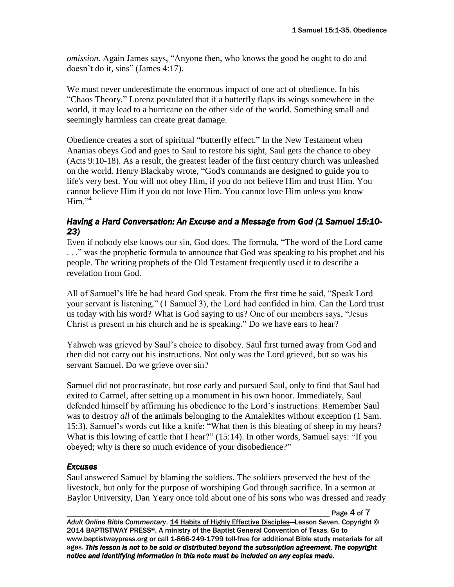*omission*. Again James says, "Anyone then, who knows the good he ought to do and doesn't do it, sins" (James 4:17).

We must never underestimate the enormous impact of one act of obedience. In his "Chaos Theory," Lorenz postulated that if a butterfly flaps its wings somewhere in the world, it may lead to a hurricane on the other side of the world. Something small and seemingly harmless can create great damage.

Obedience creates a sort of spiritual "butterfly effect." In the New Testament when Ananias obeys God and goes to Saul to restore his sight, Saul gets the chance to obey (Acts 9:10-18). As a result, the greatest leader of the first century church was unleashed on the world. Henry Blackaby wrote, "God's commands are designed to guide you to life's very best. You will not obey Him, if you do not believe Him and trust Him. You cannot believe Him if you do not love Him. You cannot love Him unless you know Him." 4

### *Having a Hard Conversation: An Excuse and a Message from God (1 Samuel 15:10- 23)*

Even if nobody else knows our sin, God does. The formula, "The word of the Lord came . . ." was the prophetic formula to announce that God was speaking to his prophet and his people. The writing prophets of the Old Testament frequently used it to describe a revelation from God.

All of Samuel's life he had heard God speak. From the first time he said, "Speak Lord your servant is listening," (1 Samuel 3), the Lord had confided in him. Can the Lord trust us today with his word? What is God saying to us? One of our members says, "Jesus Christ is present in his church and he is speaking." Do we have ears to hear?

Yahweh was grieved by Saul's choice to disobey. Saul first turned away from God and then did not carry out his instructions. Not only was the Lord grieved, but so was his servant Samuel. Do we grieve over sin?

Samuel did not procrastinate, but rose early and pursued Saul, only to find that Saul had exited to Carmel, after setting up a monument in his own honor. Immediately, Saul defended himself by affirming his obedience to the Lord's instructions. Remember Saul was to destroy *all* of the animals belonging to the Amalekites without exception (1 Sam. 15:3). Samuel's words cut like a knife: "What then is this bleating of sheep in my hears? What is this lowing of cattle that I hear?" (15:14). In other words, Samuel says: "If you obeyed; why is there so much evidence of your disobedience?"

### *Excuses*

Saul answered Samuel by blaming the soldiers. The soldiers preserved the best of the livestock, but only for the purpose of worshiping God through sacrifice. In a sermon at Baylor University, Dan Yeary once told about one of his sons who was dressed and ready

Page 4 of 7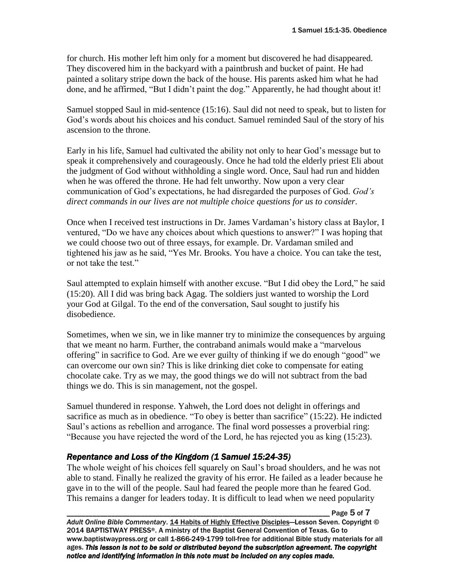for church. His mother left him only for a moment but discovered he had disappeared. They discovered him in the backyard with a paintbrush and bucket of paint. He had painted a solitary stripe down the back of the house. His parents asked him what he had done, and he affirmed, "But I didn't paint the dog." Apparently, he had thought about it!

Samuel stopped Saul in mid-sentence (15:16). Saul did not need to speak, but to listen for God's words about his choices and his conduct. Samuel reminded Saul of the story of his ascension to the throne.

Early in his life, Samuel had cultivated the ability not only to hear God's message but to speak it comprehensively and courageously. Once he had told the elderly priest Eli about the judgment of God without withholding a single word. Once, Saul had run and hidden when he was offered the throne. He had felt unworthy. Now upon a very clear communication of God's expectations, he had disregarded the purposes of God. *God's direct commands in our lives are not multiple choice questions for us to consider*.

Once when I received test instructions in Dr. James Vardaman's history class at Baylor, I ventured, "Do we have any choices about which questions to answer?" I was hoping that we could choose two out of three essays, for example. Dr. Vardaman smiled and tightened his jaw as he said, "Yes Mr. Brooks. You have a choice. You can take the test, or not take the test."

Saul attempted to explain himself with another excuse. "But I did obey the Lord," he said (15:20). All I did was bring back Agag. The soldiers just wanted to worship the Lord your God at Gilgal. To the end of the conversation, Saul sought to justify his disobedience.

Sometimes, when we sin, we in like manner try to minimize the consequences by arguing that we meant no harm. Further, the contraband animals would make a "marvelous offering" in sacrifice to God. Are we ever guilty of thinking if we do enough "good" we can overcome our own sin? This is like drinking diet coke to compensate for eating chocolate cake. Try as we may, the good things we do will not subtract from the bad things we do. This is sin management, not the gospel.

Samuel thundered in response. Yahweh, the Lord does not delight in offerings and sacrifice as much as in obedience. "To obey is better than sacrifice" (15:22). He indicted Saul's actions as rebellion and arrogance. The final word possesses a proverbial ring: "Because you have rejected the word of the Lord, he has rejected you as king (15:23).

## *Repentance and Loss of the Kingdom (1 Samuel 15:24-35)*

The whole weight of his choices fell squarely on Saul's broad shoulders, and he was not able to stand. Finally he realized the gravity of his error. He failed as a leader because he gave in to the will of the people. Saul had feared the people more than he feared God. This remains a danger for leaders today. It is difficult to lead when we need popularity

\_\_\_\_\_\_\_\_\_\_\_\_\_\_\_\_\_\_\_\_\_\_\_\_\_\_\_\_\_\_\_\_\_\_\_\_\_\_\_\_\_\_\_\_\_\_\_\_\_\_\_\_\_\_\_\_\_\_\_\_\_\_\_\_\_\_\_\_\_\_\_ Page 5 of 7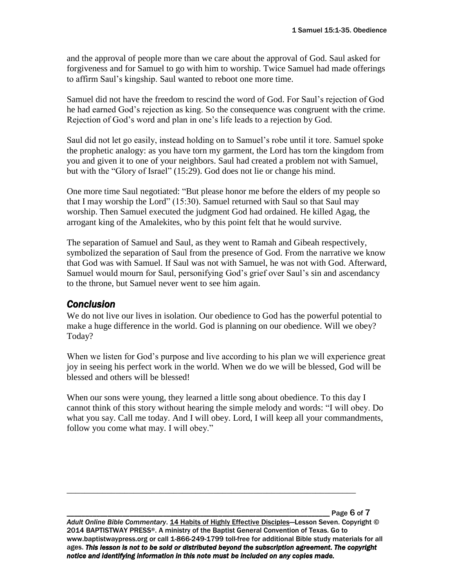and the approval of people more than we care about the approval of God. Saul asked for forgiveness and for Samuel to go with him to worship. Twice Samuel had made offerings to affirm Saul's kingship. Saul wanted to reboot one more time.

Samuel did not have the freedom to rescind the word of God. For Saul's rejection of God he had earned God's rejection as king. So the consequence was congruent with the crime. Rejection of God's word and plan in one's life leads to a rejection by God.

Saul did not let go easily, instead holding on to Samuel's robe until it tore. Samuel spoke the prophetic analogy: as you have torn my garment, the Lord has torn the kingdom from you and given it to one of your neighbors. Saul had created a problem not with Samuel, but with the "Glory of Israel" (15:29). God does not lie or change his mind.

One more time Saul negotiated: "But please honor me before the elders of my people so that I may worship the Lord" (15:30). Samuel returned with Saul so that Saul may worship. Then Samuel executed the judgment God had ordained. He killed Agag, the arrogant king of the Amalekites, who by this point felt that he would survive.

The separation of Samuel and Saul, as they went to Ramah and Gibeah respectively, symbolized the separation of Saul from the presence of God. From the narrative we know that God was with Samuel. If Saul was not with Samuel, he was not with God. Afterward, Samuel would mourn for Saul, personifying God's grief over Saul's sin and ascendancy to the throne, but Samuel never went to see him again.

### *Conclusion*

We do not live our lives in isolation. Our obedience to God has the powerful potential to make a huge difference in the world. God is planning on our obedience. Will we obey? Today?

When we listen for God's purpose and live according to his plan we will experience great joy in seeing his perfect work in the world. When we do we will be blessed, God will be blessed and others will be blessed!

When our sons were young, they learned a little song about obedience. To this day I cannot think of this story without hearing the simple melody and words: "I will obey. Do what you say. Call me today. And I will obey. Lord, I will keep all your commandments, follow you come what may. I will obey."

Page 6 of 7

*Adult Online Bible Commentary*. 14 Habits of Highly Effective Disciples—Lesson Seven. Copyright © 2014 BAPTISTWAY PRESS®. A ministry of the Baptist General Convention of Texas. Go to www.baptistwaypress.org or call 1-866-249-1799 toll-free for additional Bible study materials for all ages. *This lesson is not to be sold or distributed beyond the subscription agreement. The copyright notice and identifying information in this note must be included on any copies made.* 

\_\_\_\_\_\_\_\_\_\_\_\_\_\_\_\_\_\_\_\_\_\_\_\_\_\_\_\_\_\_\_\_\_\_\_\_\_\_\_\_\_\_\_\_\_\_\_\_\_\_\_\_\_\_\_\_\_\_\_\_\_\_\_\_\_